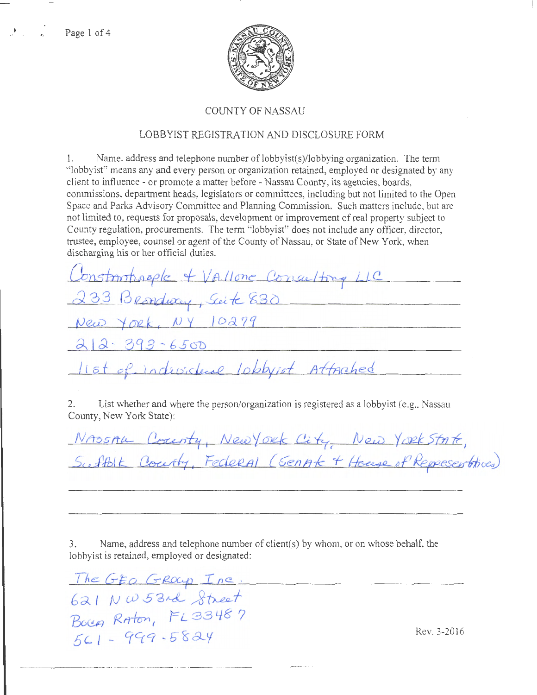Page 1 of 4



## **COUNTY OF NASSAU**

## LOBBYIST REGISTRATION AND DISCLOSURE FORM

Name. address and telephone number of lobbyist(s)/lobbying organization. The term  $\mathbb{L}$ "lobbyist" means any and every person or organization retained, employed or designated by any client to influence - or promote a matter before - Nassau County, its agencies, boards, commissions, department heads, legislators or committees, including but not limited to the Open Space and Parks Advisory Committee and Planning Commission. Such matters include, but are not limited to, requests for proposals, development or improvement of real property subject to County regulation, procurements. The term "lobbyist" does not include any officer, director, trustee, employee, counsel or agent of the County of Nassau, or State of New York, when discharging his or her official duties.

| Constantinople + VAllone Consulting LLC |  |
|-----------------------------------------|--|
| 233 Brondway, Seite 830                 |  |
| New York, NY 10279                      |  |
| $212 - 393 - 6500$                      |  |
| list of indusclear lobbyist Attached    |  |

List whether and where the person/organization is registered as a lobbyist (e.g., Nassau 2. County, New York State):

|  | NASSAL County, Newyork City, New York State, |                                                            |
|--|----------------------------------------------|------------------------------------------------------------|
|  |                                              | Sufflik Courty, Federal (SenAt + House of Representatives) |

Name, address and telephone number of client(s) by whom, or on whose behalf, the 3. lobbyist is retained, employed or designated:

The GEO GROUP Inc.<br>621 NW 53rd Street<br>Bocea Raton, FL 33487  $561 - 999 - 5824$ 

Rev. 3-2016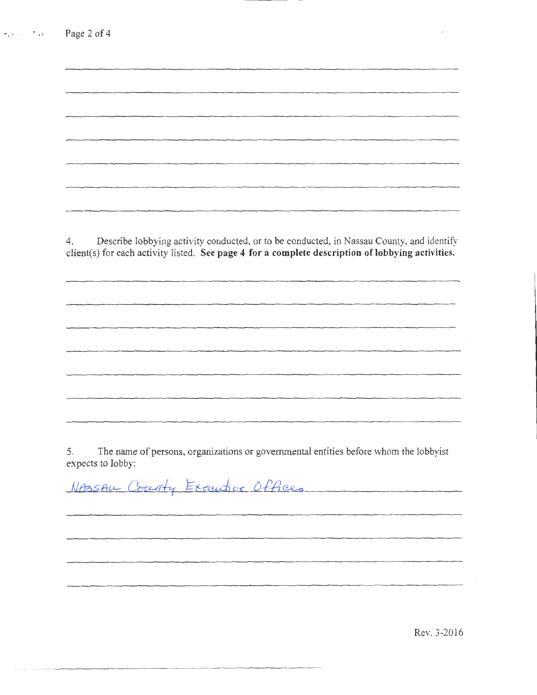| 4. | Describe lobbying activity conducted, or to be conducted, in Nassau County, and identify<br>client(s) for each activity listed. See page 4 for a complete description of lobbying activities. |  |
|----|-----------------------------------------------------------------------------------------------------------------------------------------------------------------------------------------------|--|
|    |                                                                                                                                                                                               |  |
|    |                                                                                                                                                                                               |  |
|    |                                                                                                                                                                                               |  |
|    |                                                                                                                                                                                               |  |

 $\frac{1}{2}$  ,  $\frac{1}{2}$  ,  $\frac{1}{2}$ 

5. The name of persons, organizations or governmental entities before whom the lobbyist expects to lobby:

NASSAU County Executive Offices

----- ------- - - ------ ------- ---------

Rev. 3-2016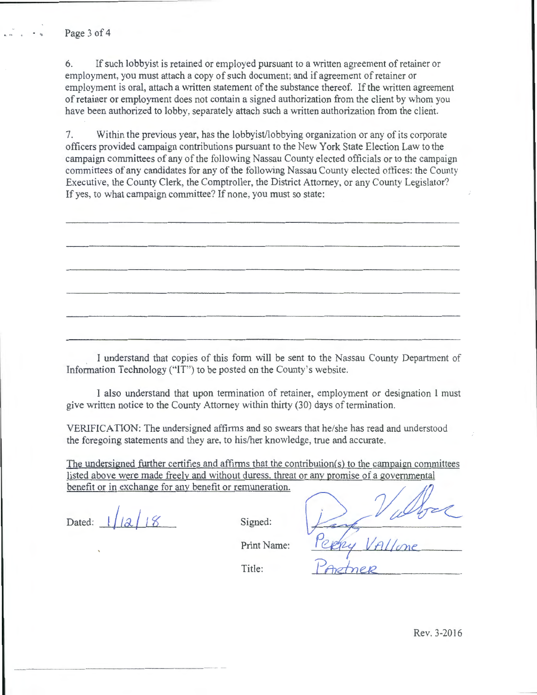Page 3 of 4

6. If such lobbyist is retained or employed pursuant to a written agreement of retainer or employment, you must attach a copy of such document; and if agreement of retainer or employment is oral, attach a written statement of the substance thereof. If the written agreement of retainer or employment does not contain a signed authorization from the client by whom you have been authorized to lobby. separately attach such a written authorization from the client.

7. Within the previous year, has the lobbyist/lobbying organization or any of its corporate officers provided campaign contributions pursuant to the New York State Election Law to the campaign committees of any of the following Nassau County elected officials or to the campaign committees of any candidates for any of the following Nassau County elected offices: the County Executive, the County Clerk, the Comptroller, the District Attorney, or any County Legislator? If yes, to what campaign committee? If none, you must so state:

I understand that copies of this form will be sent to the Nassau County Department of Information Technology ("IT") to be posted on the County's website.

I also understand that upon termination of retainer, employment or designation I must give written notice to the County Attorney within thirty (30) days of termination.

VERIFICATION: The undersigned affirms and so swears that he/she has read and understood the foregoing statements and they are, to his/her knowledge, true and accurate.

The undersigned further certifies and affirms that the contribution $(s)$  to the campaign committees listed above were made freely and without duress, threat or any promise of a governmental<br>benefit or in exchange for any benefit or remuneration. VERIFICATION: The undersigned affirms and so swears that he/she has read and understood<br>the foregoing statements and they are, to his/her knowledge, true and accurate.<br>The undersigned further certifies and affirms that the

Dated:  $1/|a|/8$  Signed:

Print Name:

Title:

IALLone

Rev. 3-2016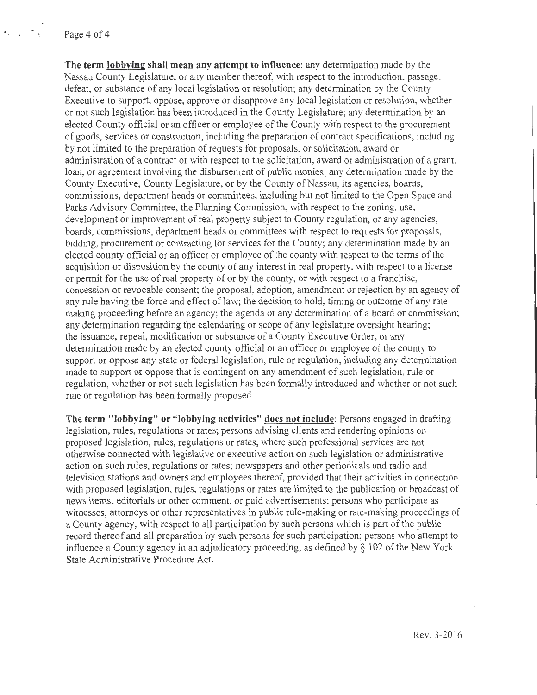**The term lobbving shall mean any attempt to influence:** any determination made by the Nassau County Legislature, or any member thereof, with respect to the introduction, passage, defeat, or substance of any local legislation or resolution; any determination by the County Executive to support, oppose, approve or disapprove any local legislation or resolution, whether or not such legislation has been introduced in the County Legislature; any determination by an elected County official or an officer or employee of the County with respect to the procurement of goods, services or constmction, including the preparation of contract specifications, including by not limited to the preparation of requests for proposals, or solicitation, award or administration of a contract or with respect to the solicitation, award or administration of a grant loan, or agreement involving the disbursement of public monies; any determination made by the County Executive, County Legislature, or by the County of Nassau, its agencies, boards, commissions, department heads or committees, including but not limited to the Open Space and Parks Advisory Committee, the Planning Commission, with respect to the zoning, use, development or improvement of real property subject to County regulation, or any agencies, boards, commissions, department heads or committees with respect to requests for proposals, bidding, procurement or contracting for services for the County; any determination made by an elected county official or an officer or employee of the county \Vith respect to the terms of the acquisition or disposition by the county of any interest in real property, with respect to a license or permit for the use of real property of or by the county, or with respect to a franchise, concession or revocable consent; the proposal, adoption, amendment or rejection by an agency of any rule having the force and effect of law; the decision to hold, timing or outcome of any rate making proceeding before an agency; the agenda or any determination of a board or commission; any determination regarding the calendaring or scope of any legislature oversight hearing; the issuance, repeal, modification or substance of a County Executive Order; or any determination made by an elected county official or an officer or employee of the county to support or oppose any state or federal legislation, rule or regulation, including any determination made to support or oppose that is contingent on any amendment of such legislation, mle or regulation, whether or not such legislation has been formally introduced and whether or not such rule or regulation has been formally proposed.

**The term "lobbying" or "lobbying activities" does not include:** Persons engaged in drafting legislation, mles, regulations or rates; persons advising clients and rendering opinions on proposed legislation, rules, regulations or rates, where such professional services are not otherwise c01mected with legislative or executive action on such legislation or administrative action on such rules, regulations or rates; newspapers and other periodicals and radio and television stations and owners and employees thereof, provided that their activities in connection with proposed legislation, rules, regulations or rates are limited to the publication or broadcast of news items, editorials or other comment, or paid advertisements; persons who participate as witnesses, attorneys or other representatives in public rule-making or rate-making proceedings of a County agency, with respect to all participation by such persons which is part of the public record thereof and all preparation by such persons for such participation; persons who attempt to influence a County agency in an adjudicatory proceeding, as defined by§ 102 of the New York State Administrative Procedure Act.